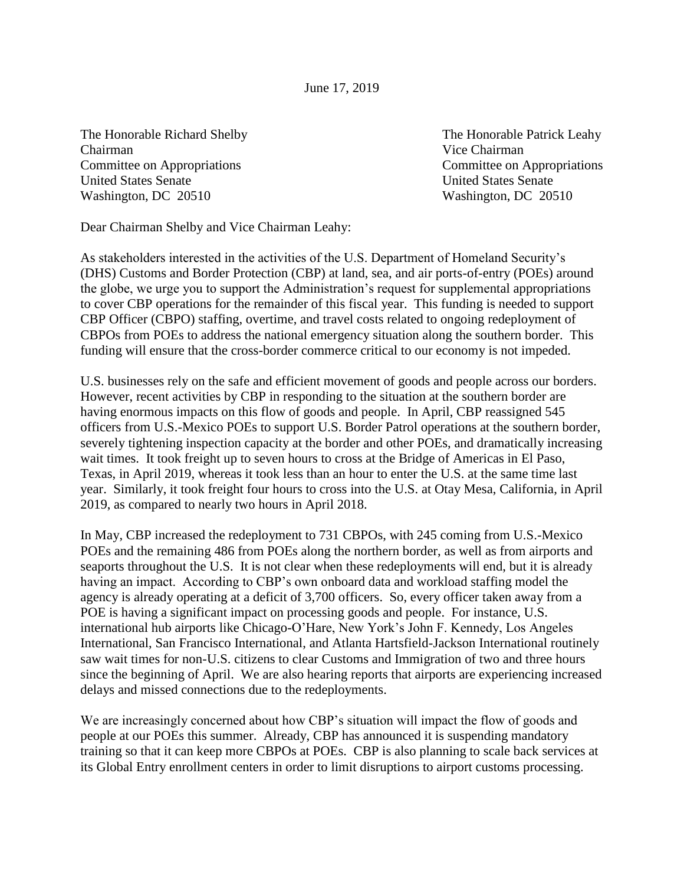June 17, 2019

The Honorable Richard Shelby The Honorable Patrick Leahy Chairman Vice Chairman Committee on Appropriations Committee on Appropriations United States Senate United States Senate Washington, DC 20510 Washington, DC 20510

Dear Chairman Shelby and Vice Chairman Leahy:

As stakeholders interested in the activities of the U.S. Department of Homeland Security's (DHS) Customs and Border Protection (CBP) at land, sea, and air ports-of-entry (POEs) around the globe, we urge you to support the Administration's request for supplemental appropriations to cover CBP operations for the remainder of this fiscal year. This funding is needed to support CBP Officer (CBPO) staffing, overtime, and travel costs related to ongoing redeployment of CBPOs from POEs to address the national emergency situation along the southern border. This funding will ensure that the cross-border commerce critical to our economy is not impeded.

U.S. businesses rely on the safe and efficient movement of goods and people across our borders. However, recent activities by CBP in responding to the situation at the southern border are having enormous impacts on this flow of goods and people. In April, CBP reassigned 545 officers from U.S.-Mexico POEs to support U.S. Border Patrol operations at the southern border, severely tightening inspection capacity at the border and other POEs, and dramatically increasing wait times. It took freight up to seven hours to cross at the Bridge of Americas in El Paso, Texas, in April 2019, whereas it took less than an hour to enter the U.S. at the same time last year. Similarly, it took freight four hours to cross into the U.S. at Otay Mesa, California, in April 2019, as compared to nearly two hours in April 2018.

In May, CBP increased the redeployment to 731 CBPOs, with 245 coming from U.S.-Mexico POEs and the remaining 486 from POEs along the northern border, as well as from airports and seaports throughout the U.S. It is not clear when these redeployments will end, but it is already having an impact. According to CBP's own onboard data and workload staffing model the agency is already operating at a deficit of 3,700 officers. So, every officer taken away from a POE is having a significant impact on processing goods and people. For instance, U.S. international hub airports like Chicago-O'Hare, New York's John F. Kennedy, Los Angeles International, San Francisco International, and Atlanta Hartsfield-Jackson International routinely saw wait times for non-U.S. citizens to clear Customs and Immigration of two and three hours since the beginning of April. We are also hearing reports that airports are experiencing increased delays and missed connections due to the redeployments.

We are increasingly concerned about how CBP's situation will impact the flow of goods and people at our POEs this summer. Already, CBP has announced it is suspending mandatory training so that it can keep more CBPOs at POEs. CBP is also planning to scale back services at its Global Entry enrollment centers in order to limit disruptions to airport customs processing.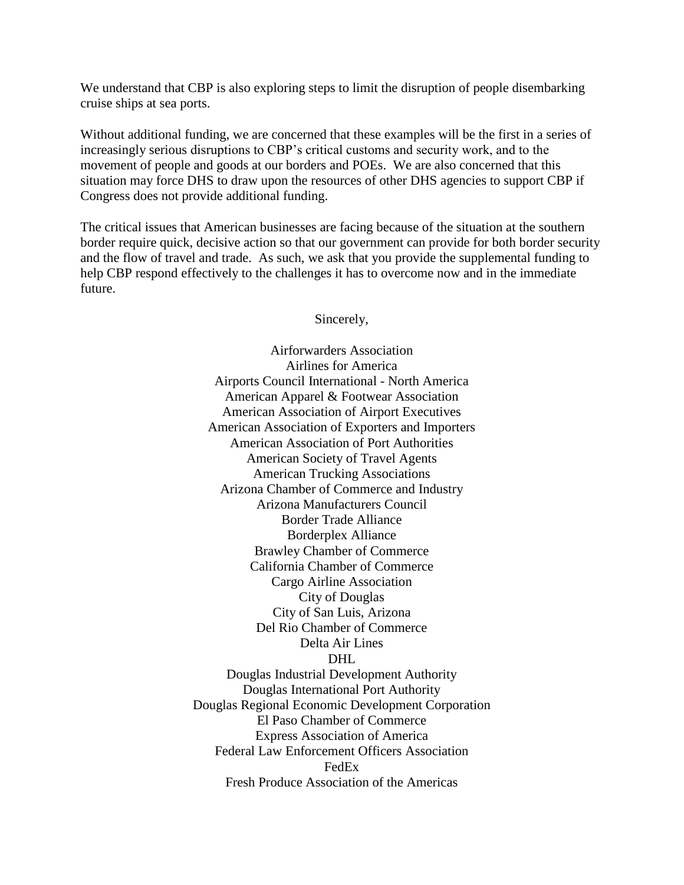We understand that CBP is also exploring steps to limit the disruption of people disembarking cruise ships at sea ports.

Without additional funding, we are concerned that these examples will be the first in a series of increasingly serious disruptions to CBP's critical customs and security work, and to the movement of people and goods at our borders and POEs. We are also concerned that this situation may force DHS to draw upon the resources of other DHS agencies to support CBP if Congress does not provide additional funding.

The critical issues that American businesses are facing because of the situation at the southern border require quick, decisive action so that our government can provide for both border security and the flow of travel and trade. As such, we ask that you provide the supplemental funding to help CBP respond effectively to the challenges it has to overcome now and in the immediate future.

Sincerely,

Airforwarders Association Airlines for America Airports Council International - North America American Apparel & Footwear Association American Association of Airport Executives American Association of Exporters and Importers American Association of Port Authorities American Society of Travel Agents American Trucking Associations Arizona Chamber of Commerce and Industry Arizona Manufacturers Council Border Trade Alliance Borderplex Alliance Brawley Chamber of Commerce California Chamber of Commerce Cargo Airline Association City of Douglas City of San Luis, Arizona Del Rio Chamber of Commerce Delta Air Lines DHL Douglas Industrial Development Authority Douglas International Port Authority Douglas Regional Economic Development Corporation El Paso Chamber of Commerce Express Association of America Federal Law Enforcement Officers Association FedEx Fresh Produce Association of the Americas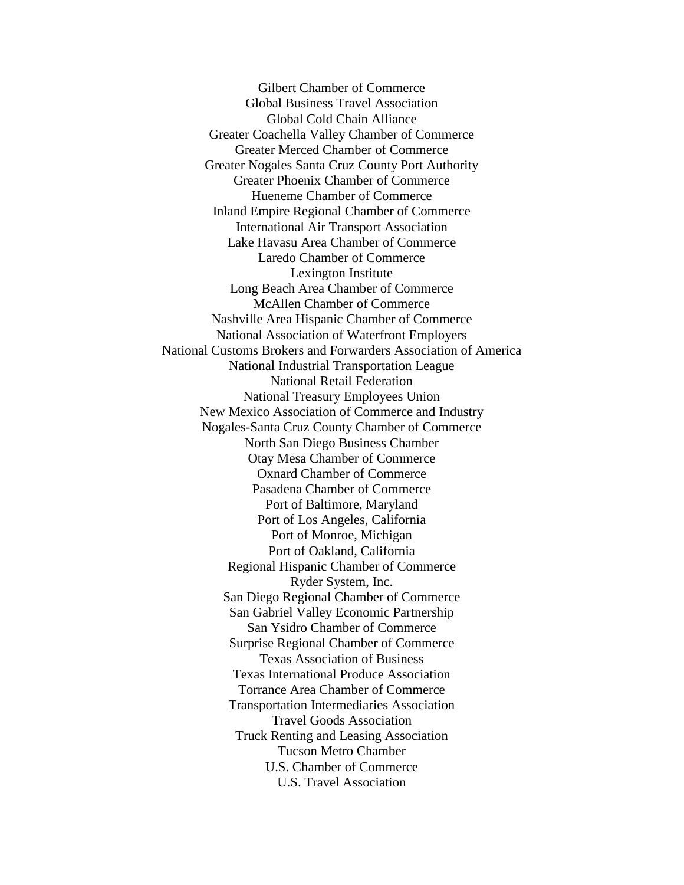Gilbert Chamber of Commerce Global Business Travel Association Global Cold Chain Alliance Greater Coachella Valley Chamber of Commerce Greater Merced Chamber of Commerce Greater Nogales Santa Cruz County Port Authority Greater Phoenix Chamber of Commerce Hueneme Chamber of Commerce Inland Empire Regional Chamber of Commerce International Air Transport Association Lake Havasu Area Chamber of Commerce Laredo Chamber of Commerce Lexington Institute Long Beach Area Chamber of Commerce McAllen Chamber of Commerce Nashville Area Hispanic Chamber of Commerce National Association of Waterfront Employers National Customs Brokers and Forwarders Association of America National Industrial Transportation League National Retail Federation National Treasury Employees Union New Mexico Association of Commerce and Industry Nogales-Santa Cruz County Chamber of Commerce North San Diego Business Chamber Otay Mesa Chamber of Commerce Oxnard Chamber of Commerce Pasadena Chamber of Commerce Port of Baltimore, Maryland Port of Los Angeles, California Port of Monroe, Michigan Port of Oakland, California Regional Hispanic Chamber of Commerce Ryder System, Inc. San Diego Regional Chamber of Commerce San Gabriel Valley Economic Partnership San Ysidro Chamber of Commerce Surprise Regional Chamber of Commerce Texas Association of Business Texas International Produce Association Torrance Area Chamber of Commerce Transportation Intermediaries Association Travel Goods Association Truck Renting and Leasing Association Tucson Metro Chamber U.S. Chamber of Commerce U.S. Travel Association